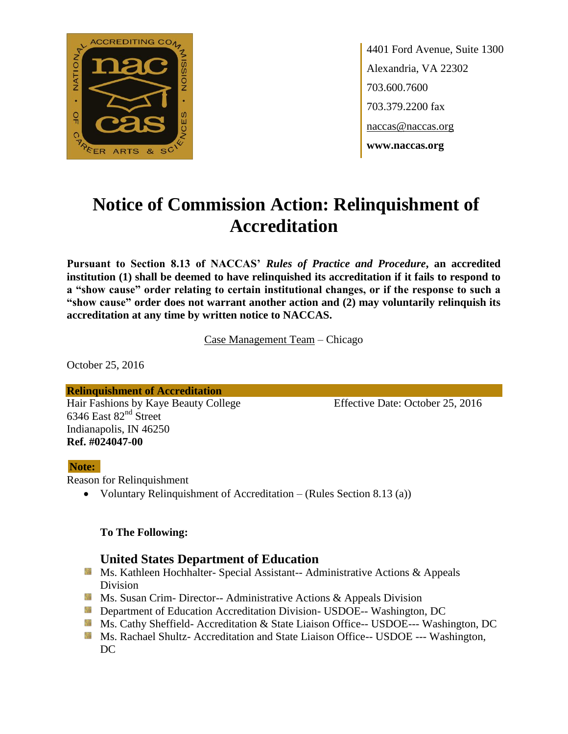

4401 Ford Avenue, Suite 1300 Alexandria, VA 22302 703.600.7600 703.379.2200 fax naccas@naccas.org **www.naccas.org**

# **Notice of Commission Action: Relinquishment of Accreditation**

**Pursuant to Section 8.13 of NACCAS'** *Rules of Practice and Procedure***, an accredited institution (1) shall be deemed to have relinquished its accreditation if it fails to respond to a "show cause" order relating to certain institutional changes, or if the response to such a "show cause" order does not warrant another action and (2) may voluntarily relinquish its accreditation at any time by written notice to NACCAS.**

Case Management Team – Chicago

October 25, 2016

**Relinquishment of Accreditation** Hair Fashions by Kaye Beauty College Effective Date: October 25, 2016 6346 East 82<sup>nd</sup> Street Indianapolis, IN 46250 **Ref. #024047-00**

#### **Note:**

Reason for Relinquishment

Voluntary Relinquishment of Accreditation – (Rules Section 8.13 (a))

#### **To The Following:**

### **United States Department of Education**

- **Ms. Kathleen Hochhalter- Special Assistant-- Administrative Actions & Appeals** Division
- **Ms. Susan Crim- Director-- Administrative Actions & Appeals Division**
- **Department of Education Accreditation Division- USDOE-- Washington, DC**
- Ms. Cathy Sheffield- Accreditation & State Liaison Office-- USDOE--- Washington, DC
- **MS. Rachael Shultz- Accreditation and State Liaison Office-- USDOE --- Washington,** DC